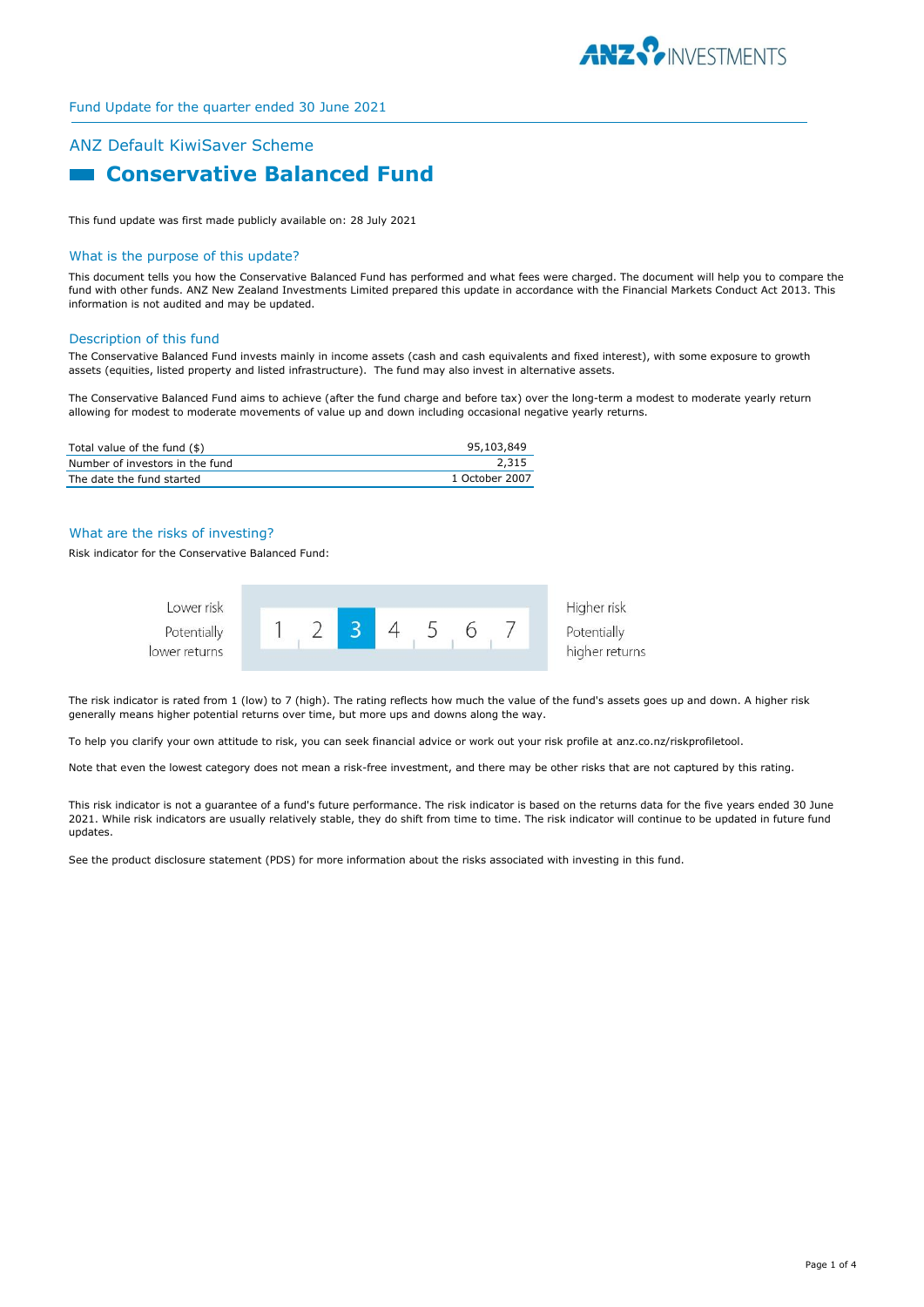

# ANZ Default KiwiSaver Scheme **Example 2 Conservative Balanced Fund**

This fund update was first made publicly available on: 28 July 2021

#### What is the purpose of this update?

This document tells you how the Conservative Balanced Fund has performed and what fees were charged. The document will help you to compare the fund with other funds. ANZ New Zealand Investments Limited prepared this update in accordance with the Financial Markets Conduct Act 2013. This information is not audited and may be updated.

#### Description of this fund

The Conservative Balanced Fund invests mainly in income assets (cash and cash equivalents and fixed interest), with some exposure to growth assets (equities, listed property and listed infrastructure). The fund may also invest in alternative assets.

The Conservative Balanced Fund aims to achieve (after the fund charge and before tax) over the long-term a modest to moderate yearly return allowing for modest to moderate movements of value up and down including occasional negative yearly returns.

| Total value of the fund (\$)    | 95,103,849     |
|---------------------------------|----------------|
| Number of investors in the fund | 2,315          |
| The date the fund started       | 1 October 2007 |

#### What are the risks of investing?

Risk indicator for the Conservative Balanced Fund:



The risk indicator is rated from 1 (low) to 7 (high). The rating reflects how much the value of the fund's assets goes up and down. A higher risk generally means higher potential returns over time, but more ups and downs along the way.

To help you clarify your own attitude to risk, you can seek financial advice or work out your risk profile at anz.co.nz/riskprofiletool.

Note that even the lowest category does not mean a risk-free investment, and there may be other risks that are not captured by this rating.

This risk indicator is not a guarantee of a fund's future performance. The risk indicator is based on the returns data for the five years ended 30 June 2021. While risk indicators are usually relatively stable, they do shift from time to time. The risk indicator will continue to be updated in future fund updates.

See the product disclosure statement (PDS) for more information about the risks associated with investing in this fund.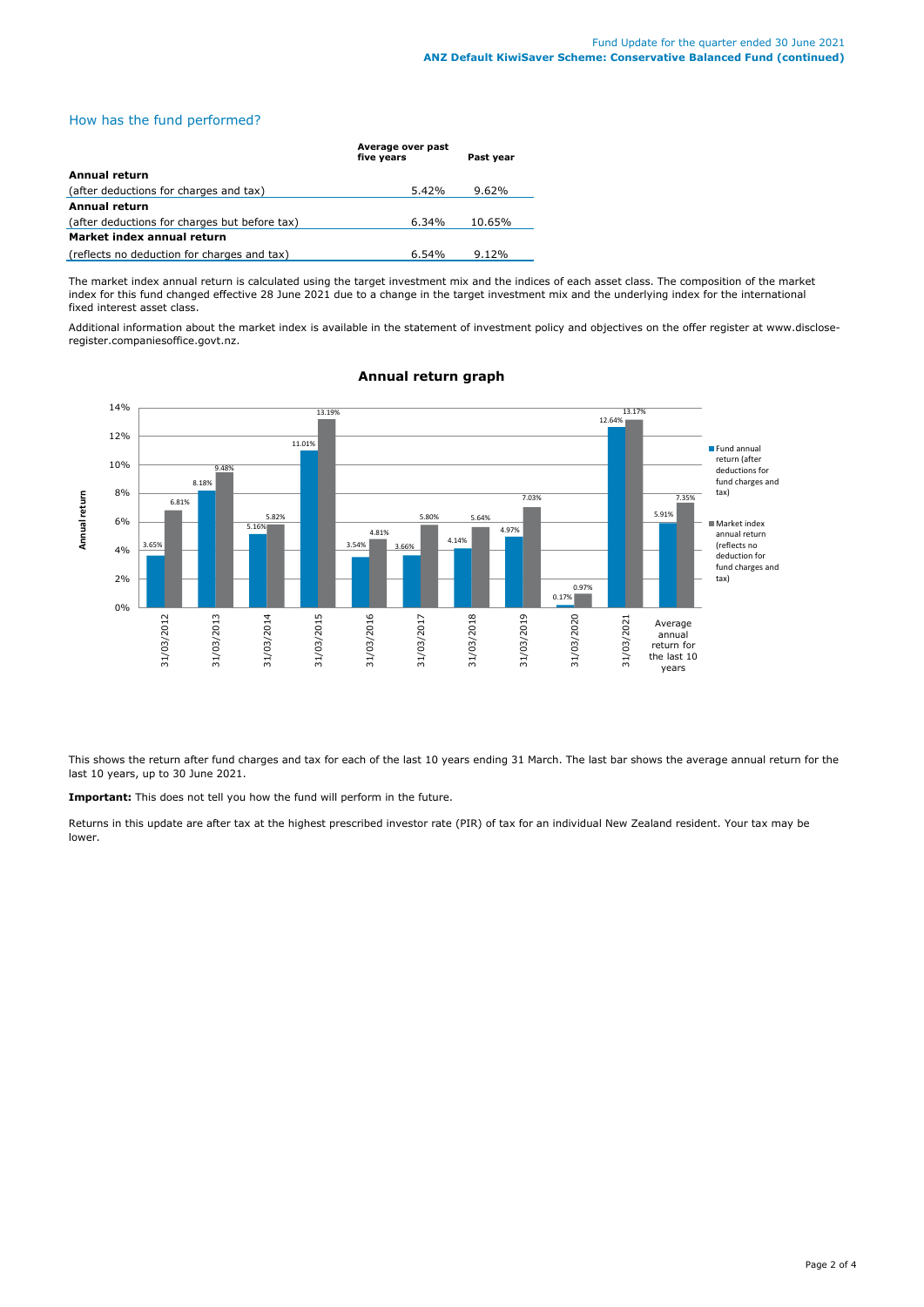How has the fund performed?

|                                               | Average over past<br>five years | Past year |  |
|-----------------------------------------------|---------------------------------|-----------|--|
| Annual return                                 |                                 |           |  |
| (after deductions for charges and tax)        | 5.42%                           | 9.62%     |  |
| <b>Annual return</b>                          |                                 |           |  |
| (after deductions for charges but before tax) | $6.34\%$                        | 10.65%    |  |
| Market index annual return                    |                                 |           |  |
| (reflects no deduction for charges and tax)   | 6.54%                           | $9.12\%$  |  |

The market index annual return is calculated using the target investment mix and the indices of each asset class. The composition of the market index for this fund changed effective 28 June 2021 due to a change in the target investment mix and the underlying index for the international fixed interest asset class.

Additional information about the market index is available in the statement of investment policy and objectives on the offer register at www.discloseregister.companiesoffice.govt.nz.



# **Annual return graph**

This shows the return after fund charges and tax for each of the last 10 years ending 31 March. The last bar shows the average annual return for the last 10 years, up to 30 June 2021.

**Important:** This does not tell you how the fund will perform in the future.

Returns in this update are after tax at the highest prescribed investor rate (PIR) of tax for an individual New Zealand resident. Your tax may be lower.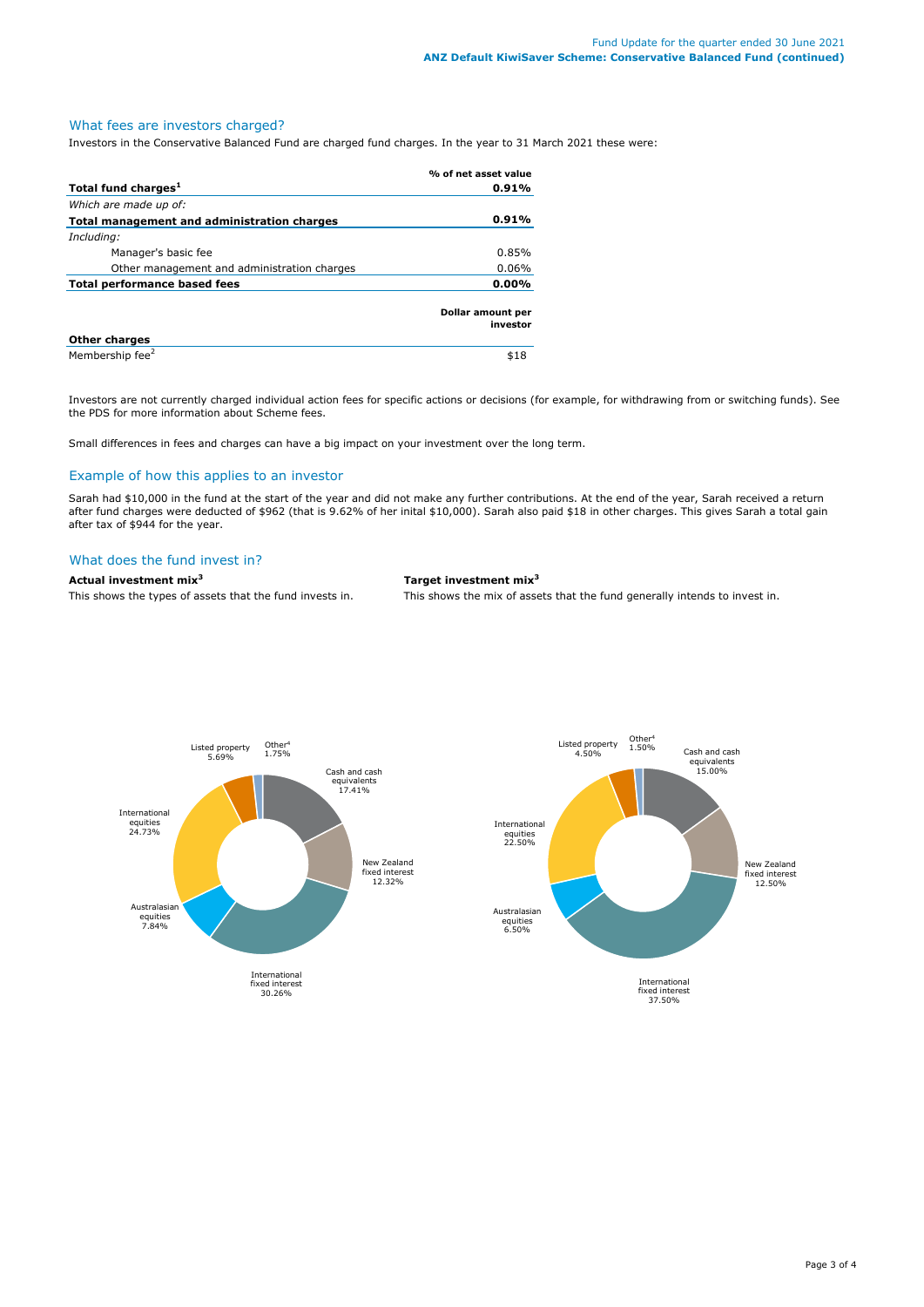# What fees are investors charged?

Investors in the Conservative Balanced Fund are charged fund charges. In the year to 31 March 2021 these were:

|                                             | % of net asset value          |
|---------------------------------------------|-------------------------------|
| Total fund charges <sup>1</sup>             | 0.91%                         |
| Which are made up of:                       |                               |
| Total management and administration charges | 0.91%                         |
| Including:                                  |                               |
| Manager's basic fee                         | 0.85%                         |
| Other management and administration charges | 0.06%                         |
| <b>Total performance based fees</b>         | 0.00%                         |
|                                             | Dollar amount per<br>investor |
| <b>Other charges</b>                        |                               |
| Membership fee <sup>2</sup>                 | \$18                          |

Investors are not currently charged individual action fees for specific actions or decisions (for example, for withdrawing from or switching funds). See the PDS for more information about Scheme fees.

Small differences in fees and charges can have a big impact on your investment over the long term.

## Example of how this applies to an investor

Sarah had \$10,000 in the fund at the start of the year and did not make any further contributions. At the end of the year, Sarah received a return after fund charges were deducted of \$962 (that is 9.62% of her inital \$10,000). Sarah also paid \$18 in other charges. This gives Sarah a total gain after tax of \$944 for the year.

#### What does the fund invest in?

**Actual investment mix<sup>3</sup> Target investment mix<sup>3</sup>**

This shows the types of assets that the fund invests in. This shows the mix of assets that the fund generally intends to invest in.